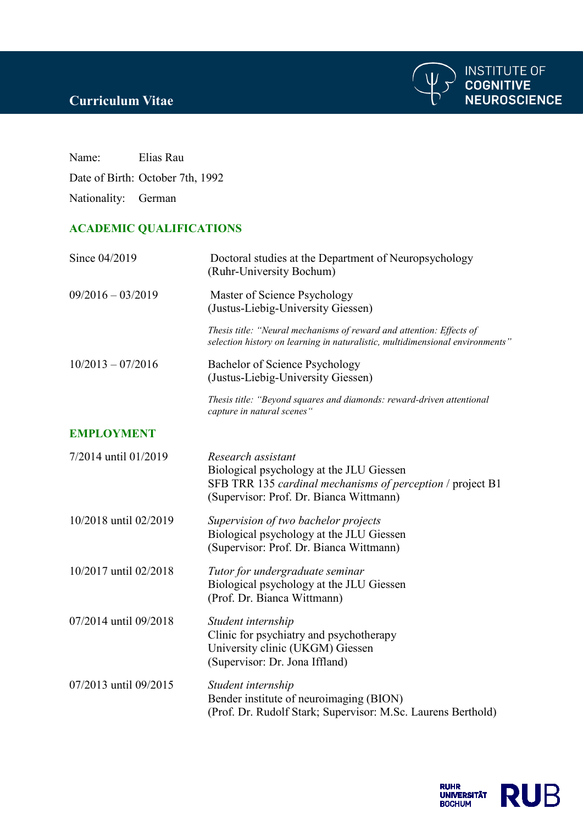

**INSTITUTE OF<br>COGNITIVE<br>NEUROSCIENCE** 



## **ACADEMIC QUALIFICATIONS**

| Since 04/2019         | Doctoral studies at the Department of Neuropsychology<br>(Ruhr-University Bochum)                                                                                       |
|-----------------------|-------------------------------------------------------------------------------------------------------------------------------------------------------------------------|
| $09/2016 - 03/2019$   | Master of Science Psychology<br>(Justus-Liebig-University Giessen)                                                                                                      |
|                       | Thesis title: "Neural mechanisms of reward and attention: Effects of<br>selection history on learning in naturalistic, multidimensional environments"                   |
| $10/2013 - 07/2016$   | Bachelor of Science Psychology<br>(Justus-Liebig-University Giessen)                                                                                                    |
|                       | Thesis title: "Beyond squares and diamonds: reward-driven attentional<br>capture in natural scenes"                                                                     |
| <b>EMPLOYMENT</b>     |                                                                                                                                                                         |
| 7/2014 until 01/2019  | Research assistant<br>Biological psychology at the JLU Giessen<br>SFB TRR 135 cardinal mechanisms of perception / project B1<br>(Supervisor: Prof. Dr. Bianca Wittmann) |
| 10/2018 until 02/2019 | Supervision of two bachelor projects<br>Biological psychology at the JLU Giessen<br>(Supervisor: Prof. Dr. Bianca Wittmann)                                             |
| 10/2017 until 02/2018 | Tutor for undergraduate seminar<br>Biological psychology at the JLU Giessen<br>(Prof. Dr. Bianca Wittmann)                                                              |
| 07/2014 until 09/2018 | Student internship<br>Clinic for psychiatry and psychotherapy<br>University clinic (UKGM) Giessen<br>(Supervisor: Dr. Jona Iffland)                                     |
| 07/2013 until 09/2015 | Student internship<br>Bender institute of neuroimaging (BION)<br>(Prof. Dr. Rudolf Stark; Supervisor: M.Sc. Laurens Berthold)                                           |